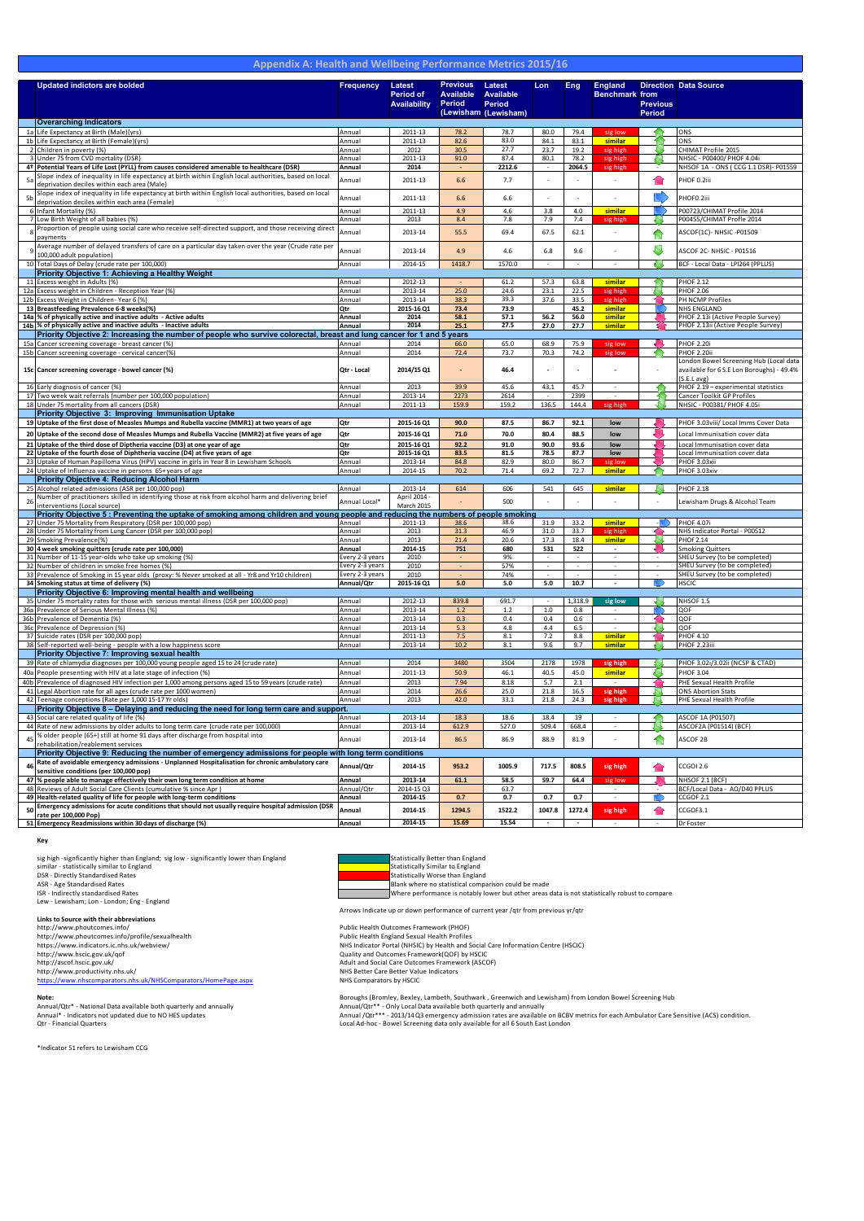|                          |                                                                                                                                                                                                                                                                                                                                                                                                                                                                                                                                                                                                                                                                                                                                                                                                                                                             |                                            |                                |                                                                                                                     |                          |                                                                                                                                                                                                                                                                                                                                                                                                                                                                                                       |                              | #                                                                                             |
|--------------------------|-------------------------------------------------------------------------------------------------------------------------------------------------------------------------------------------------------------------------------------------------------------------------------------------------------------------------------------------------------------------------------------------------------------------------------------------------------------------------------------------------------------------------------------------------------------------------------------------------------------------------------------------------------------------------------------------------------------------------------------------------------------------------------------------------------------------------------------------------------------|--------------------------------------------|--------------------------------|---------------------------------------------------------------------------------------------------------------------|--------------------------|-------------------------------------------------------------------------------------------------------------------------------------------------------------------------------------------------------------------------------------------------------------------------------------------------------------------------------------------------------------------------------------------------------------------------------------------------------------------------------------------------------|------------------------------|-----------------------------------------------------------------------------------------------|
|                          |                                                                                                                                                                                                                                                                                                                                                                                                                                                                                                                                                                                                                                                                                                                                                                                                                                                             |                                            |                                |                                                                                                                     |                          |                                                                                                                                                                                                                                                                                                                                                                                                                                                                                                       |                              | $\blacksquare$                                                                                |
|                          |                                                                                                                                                                                                                                                                                                                                                                                                                                                                                                                                                                                                                                                                                                                                                                                                                                                             |                                            |                                |                                                                                                                     |                          |                                                                                                                                                                                                                                                                                                                                                                                                                                                                                                       |                              |                                                                                               |
|                          |                                                                                                                                                                                                                                                                                                                                                                                                                                                                                                                                                                                                                                                                                                                                                                                                                                                             |                                            |                                |                                                                                                                     |                          |                                                                                                                                                                                                                                                                                                                                                                                                                                                                                                       |                              |                                                                                               |
|                          | $\frac{1}{8}$ %                                                                                                                                                                                                                                                                                                                                                                                                                                                                                                                                                                                                                                                                                                                                                                                                                                             |                                            |                                |                                                                                                                     |                          |                                                                                                                                                                                                                                                                                                                                                                                                                                                                                                       |                              | $"#$ \$                                                                                       |
|                          | $\frac{1}{2}$ & '                                                                                                                                                                                                                                                                                                                                                                                                                                                                                                                                                                                                                                                                                                                                                                                                                                           |                                            |                                | $\left($                                                                                                            |                          | $\mathbf{I}$                                                                                                                                                                                                                                                                                                                                                                                                                                                                                          |                              | $"#$ \$                                                                                       |
|                          | $\frac{1}{2}$ $\frac{1}{2}$ $\frac{1}{2}$ $\frac{1}{2}$ $\frac{1}{2}$ $\frac{1}{2}$ $\frac{1}{2}$ $\frac{1}{2}$ $\frac{1}{2}$ $\frac{1}{2}$ $\frac{1}{2}$ $\frac{1}{2}$ $\frac{1}{2}$ $\frac{1}{2}$ $\frac{1}{2}$ $\frac{1}{2}$ $\frac{1}{2}$ $\frac{1}{2}$ $\frac{1}{2}$ $\frac{1}{2}$ $\frac{1}{2}$ $\frac{1}{2}$                                                                                                                                                                                                                                                                                                                                                                                                                                                                                                                                         |                                            |                                |                                                                                                                     |                          |                                                                                                                                                                                                                                                                                                                                                                                                                                                                                                       |                              | $)/0$ 12 + .                                                                                  |
|                          | $\frac{1}{3}$ * . + $\frac{1}{4}$ + $\frac{1}{5}$ + 5 \$ 6                                                                                                                                                                                                                                                                                                                                                                                                                                                                                                                                                                                                                                                                                                                                                                                                  | $\sim 10^{-1}$                             |                                |                                                                                                                     |                          |                                                                                                                                                                                                                                                                                                                                                                                                                                                                                                       |                              | $\#$ /\$0)2 ! 22/"& !                                                                         |
|                          | $\frac{4}{10}$ $\frac{8}{10}$ $\frac{6}{10}$ $\frac{6}{10}$ $\frac{6}{10}$ $\frac{6}{10}$ $\frac{6}{10}$ $\frac{6}{10}$ $\frac{6}{10}$ $\frac{6}{10}$ $\frac{6}{10}$ $\frac{6}{10}$ $\frac{6}{10}$ $\frac{6}{10}$ $\frac{6}{10}$ $\frac{6}{10}$ $\frac{6}{10}$ $\frac{6}{10}$ $\frac{6}{10}$ $\frac{6}{10}$<br>$\frac{9}{6}() * 8$<br>$   \cdot   $<br>$\frac{1}{2} + \frac{1}{2} + \frac{1}{2}$<br>$\frac{1}{\sqrt{1-\frac{1}{2}}\sqrt{1-\frac{1}{2}}\sqrt{1-\frac{1}{2}}\sqrt{1-\frac{1}{2}}\sqrt{1-\frac{1}{2}}\sqrt{1-\frac{1}{2}}\sqrt{1-\frac{1}{2}}\sqrt{1-\frac{1}{2}}\sqrt{1-\frac{1}{2}}\sqrt{1-\frac{1}{2}}\sqrt{1-\frac{1}{2}}\sqrt{1-\frac{1}{2}}\sqrt{1-\frac{1}{2}}\sqrt{1-\frac{1}{2}}\sqrt{1-\frac{1}{2}}\sqrt{1-\frac{1}{2}}\sqrt{1-\frac{1}{2}}\sqrt{1-\frac{1}{2}}\sqrt{1-\frac{1}{2}}\sqrt{1-\frac$<br>$+$ % $<$ $+$ +<br>$\ddot{x}$ + |                                            |                                | $+$                                                                                                                 | <b>Contract Contract</b> |                                                                                                                                                                                                                                                                                                                                                                                                                                                                                                       | Π.                           | $\#/\$$ " $\#$ " $\#$ \$)) 8 5 \$62.                                                          |
|                          | $\star$ . The set of $\star$<br>$*$ + :                                                                                                                                                                                                                                                                                                                                                                                                                                                                                                                                                                                                                                                                                                                                                                                                                     |                                            |                                | $($ (                                                                                                               |                          |                                                                                                                                                                                                                                                                                                                                                                                                                                                                                                       |                              | $2/$ " &                                                                                      |
|                          | $\%$ : ; + + $\%$ < $\frac{2}{3}$ +<br>$$ +$ * + 9                                                                                                                                                                                                                                                                                                                                                                                                                                                                                                                                                                                                                                                                                                                                                                                                          |                                            |                                | $($ $($                                                                                                             | $($ (                    |                                                                                                                                                                                                                                                                                                                                                                                                                                                                                                       |                              | $2/$ " &                                                                                      |
|                          | $\star$ , $\star$ : 8.<br>$(0 + -$                                                                                                                                                                                                                                                                                                                                                                                                                                                                                                                                                                                                                                                                                                                                                                                                                          |                                            |                                | $\mathbf{1}$                                                                                                        | $\frac{1}{2}$            |                                                                                                                                                                                                                                                                                                                                                                                                                                                                                                       |                              | $2 \t 7)/0 \t 21 + \t 1$                                                                      |
|                          | $+$ : = : + % % -                                                                                                                                                                                                                                                                                                                                                                                                                                                                                                                                                                                                                                                                                                                                                                                                                                           |                                            |                                | $\mathbf{I}$                                                                                                        |                          |                                                                                                                                                                                                                                                                                                                                                                                                                                                                                                       | $\mathbf{I}$                 | $2$ !7)/0 $21 +$ !                                                                            |
|                          | $2 + + + + + +$ ; + : + ; * * * * * * ; *;                                                                                                                                                                                                                                                                                                                                                                                                                                                                                                                                                                                                                                                                                                                                                                                                                  |                                            | $\mathbf{I}$                   |                                                                                                                     | $($ !                    | $($ .                                                                                                                                                                                                                                                                                                                                                                                                                                                                                                 |                              | $$) "8$ $#/$0$ 2.                                                                             |
|                          | and the company                                                                                                                                                                                                                                                                                                                                                                                                                                                                                                                                                                                                                                                                                                                                                                                                                                             |                                            |                                | $\mathcal{L}(\mathcal{L})$ and                                                                                      |                          |                                                                                                                                                                                                                                                                                                                                                                                                                                                                                                       |                              |                                                                                               |
|                          | $\left($ $\left($ $\right)$ $\left($ $\right)$ $\left($ $\right)$ $\left($ $\right)$ $\left($ $\right)$ $\left($ $\right)$ $\left($ $\right)$ $\left($ $\right)$ $\left($ $\right)$ $\left($ $\right)$ $\left($ $\right)$ $\left($ $\right)$ $\left($ $\right)$ $\left($ $\right)$ $\left($ $\right)$ $\left($ $\right)$ $\left($ $\right)$ $\left($ $\right)$                                                                                                                                                                                                                                                                                                                                                                                                                                                                                              |                                            | Ţ.                             | -11                                                                                                                 | $\frac{1}{2}$            | $\left($                                                                                                                                                                                                                                                                                                                                                                                                                                                                                              | $\left($                     | $$)$ " &) $\#$ / $$0$ $$$ (                                                                   |
|                          | $1 + 5 + 5$ *<br>$\prec$ $\Box$                                                                                                                                                                                                                                                                                                                                                                                                                                                                                                                                                                                                                                                                                                                                                                                                                             |                                            | $\mathbf{1}$                   | - 10                                                                                                                | $\sim 10^{-1}$           |                                                                                                                                                                                                                                                                                                                                                                                                                                                                                                       |                              | $)$ & + 5 20 (22 3\$)                                                                         |
|                          | <b>Contract Contract Contract Contract Contract Contract Contract Contract Contract Contract Contract Contract Co</b>                                                                                                                                                                                                                                                                                                                                                                                                                                                                                                                                                                                                                                                                                                                                       |                                            |                                |                                                                                                                     |                          |                                                                                                                                                                                                                                                                                                                                                                                                                                                                                                       |                              |                                                                                               |
|                          | $\frac{1}{2}$ $\frac{1}{2}$ $\frac{1}{2}$ $\frac{1}{2}$ $\frac{1}{2}$ $\frac{1}{2}$ $\frac{1}{2}$ $\frac{1}{2}$ $\frac{1}{2}$ $\frac{1}{2}$ $\frac{1}{2}$ $\frac{1}{2}$ $\frac{1}{2}$ $\frac{1}{2}$ $\frac{1}{2}$ $\frac{1}{2}$ $\frac{1}{2}$ $\frac{1}{2}$ $\frac{1}{2}$ $\frac{1}{2}$ $\frac{1}{2}$ $\frac{1}{2}$                                                                                                                                                                                                                                                                                                                                                                                                                                                                                                                                         |                                            |                                |                                                                                                                     | $\sqrt{2}$               |                                                                                                                                                                                                                                                                                                                                                                                                                                                                                                       |                              | $2/$ " &                                                                                      |
| -9                       | $\frac{1}{2}$ $\frac{1}{2}$ $\frac{1}{2}$ $\frac{1}{2}$ $\frac{1}{2}$ $\frac{1}{2}$ $\frac{1}{2}$ $\frac{1}{2}$ $\frac{1}{2}$ $\frac{1}{2}$ $\frac{1}{2}$ $\frac{1}{2}$ $\frac{1}{2}$ $\frac{1}{2}$ $\frac{1}{2}$ $\frac{1}{2}$ $\frac{1}{2}$ $\frac{1}{2}$ $\frac{1}{2}$ $\frac{1}{2}$ $\frac{1}{2}$ $\frac{1}{2}$<br>$\frac{2}{3}$ -<br>$=$ ; ) * ? ( -                                                                                                                                                                                                                                                                                                                                                                                                                                                                                                   |                                            | $\mathbf{I}$<br>$\pm$          |                                                                                                                     | $\frac{1}{2}$            |                                                                                                                                                                                                                                                                                                                                                                                                                                                                                                       |                              | $2/$ " & (<br>$2/#$ ) 22 +                                                                    |
| $\left  \cdot \right $ . | $\frac{1}{1}$ + 0 1 % 2 &                                                                                                                                                                                                                                                                                                                                                                                                                                                                                                                                                                                                                                                                                                                                                                                                                                   | 3                                          | $+3$                           | $4 - 1$                                                                                                             | $4 - 5$                  |                                                                                                                                                                                                                                                                                                                                                                                                                                                                                                       |                              | $\#$ / \$ $\#$ 8 $\#$ 5                                                                       |
|                          | $\begin{array}{ c c c c c }\n\hline\n\text{I} & \text{2} & \text{6}\n\end{array}$                                                                                                                                                                                                                                                                                                                                                                                                                                                                                                                                                                                                                                                                                                                                                                           | <b>Contract</b>                            | $\mathbf{I}$                   | 0,                                                                                                                  | 4,                       |                                                                                                                                                                                                                                                                                                                                                                                                                                                                                                       |                              | $2/8$ $2 + 1$                                                                                 |
|                          | $6/$ $/$ $+7$ $/$<br>$\frac{1}{2}$ 6                                                                                                                                                                                                                                                                                                                                                                                                                                                                                                                                                                                                                                                                                                                                                                                                                        | <b>CONTRACTOR</b>                          | $\mathbf{I}$<br>$\sim 10^{-1}$ | $\sim$                                                                                                              | 4,                       | 4,                                                                                                                                                                                                                                                                                                                                                                                                                                                                                                    | 4, 4                         | $2/8$ $2 + 5$ ,                                                                               |
|                          | $\frac{1}{2}$ $\frac{1}{2}$ $\frac{1}{2}$ $\frac{1}{2}$ $\frac{1}{2}$ $\frac{1}{2}$ $\frac{1}{2}$ $\frac{1}{2}$ $\frac{1}{2}$ $\frac{1}{2}$ $\frac{1}{2}$ $\frac{1}{2}$ $\frac{1}{2}$ $\frac{1}{2}$ $\frac{1}{2}$ $\frac{1}{2}$ $\frac{1}{2}$ $\frac{1}{2}$ $\frac{1}{2}$ $\frac{1}{2}$ $\frac{1}{2}$ $\frac{1}{2}$<br>$; + ,$ ; %<br><b>Contractor</b><br>$  \cdot  $                                                                                                                                                                                                                                                                                                                                                                                                                                                                                      |                                            | $\mathbf{1}$                   | and the state of the state of the state of the state of the state of the state of the state of the state of th<br>( | $\left( \cdot \right)$   |                                                                                                                                                                                                                                                                                                                                                                                                                                                                                                       |                              | $2/$ " &                                                                                      |
|                          | .9)                                                                                                                                                                                                                                                                                                                                                                                                                                                                                                                                                                                                                                                                                                                                                                                                                                                         |                                            | $\mathbf{I}$                   | - 1                                                                                                                 |                          |                                                                                                                                                                                                                                                                                                                                                                                                                                                                                                       | $\mathbf{I}$                 | $2/$ " &                                                                                      |
|                          |                                                                                                                                                                                                                                                                                                                                                                                                                                                                                                                                                                                                                                                                                                                                                                                                                                                             |                                            |                                |                                                                                                                     |                          |                                                                                                                                                                                                                                                                                                                                                                                                                                                                                                       |                              | $+$ * + + : \$ / ; % + *                                                                      |
|                          | $8$ / + %2&                                                                                                                                                                                                                                                                                                                                                                                                                                                                                                                                                                                                                                                                                                                                                                                                                                                 | $3 + $$                                    | $\frac{1}{3}$                  | $+$                                                                                                                 | $\pm$ , $\pm$            | $+$                                                                                                                                                                                                                                                                                                                                                                                                                                                                                                   | $+$<br>$+$                   | $\begin{array}{cccc} , & \frac{96}{6} + (\$ & + + + ; & ! & ! & . \ \$ & , & ; & \end{array}$ |
|                          | $\frac{1}{2}$ $\frac{1}{2}$ $\frac{1}{2}$ $\frac{1}{2}$ $\frac{1}{2}$ $\frac{1}{2}$ $\frac{1}{2}$ $\frac{1}{2}$ $\frac{1}{2}$ $\frac{1}{2}$ $\frac{1}{2}$ $\frac{1}{2}$ $\frac{1}{2}$ $\frac{1}{2}$ $\frac{1}{2}$ $\frac{1}{2}$ $\frac{1}{2}$ $\frac{1}{2}$ $\frac{1}{2}$ $\frac{1}{2}$ $\frac{1}{2}$ $\frac{1}{2}$                                                                                                                                                                                                                                                                                                                                                                                                                                                                                                                                         |                                            |                                |                                                                                                                     | $\mathbf{L}$ (           | $\mathbf{1}$                                                                                                                                                                                                                                                                                                                                                                                                                                                                                          | $\mathbf{1}$                 | $2/\sqrt{8}$ @                                                                                |
|                          | $1:+:$ >: $\frac{1}{2}$ $\frac{1}{2}$ $\frac{1}{2}$ $\frac{1}{2}$ $\frac{1}{2}$ $\frac{1}{2}$ $\frac{1}{2}$ $\frac{1}{2}$ $\frac{1}{2}$ $\frac{1}{2}$ $\frac{1}{2}$ $\frac{1}{2}$ $\frac{1}{2}$ $\frac{1}{2}$ $\frac{1}{2}$ $\frac{1}{2}$ $\frac{1}{2}$ $\frac{1}{2}$ $\frac{1}{2}$ $\frac{1}{2}$ $\frac{1}{2}$ $\$                                                                                                                                                                                                                                                                                                                                                                                                                                                                                                                                         |                                            | $\mathbf{1}$                   |                                                                                                                     | $($ !                    |                                                                                                                                                                                                                                                                                                                                                                                                                                                                                                       |                              | $1++822+$                                                                                     |
|                          | $3$ * $+$<br>$+1$<br>5\$6                                                                                                                                                                                                                                                                                                                                                                                                                                                                                                                                                                                                                                                                                                                                                                                                                                   |                                            |                                |                                                                                                                     | <b>Contract</b>          | $($ .                                                                                                                                                                                                                                                                                                                                                                                                                                                                                                 | $\lfloor \cdot \rfloor$      | $\# / \$0 \times$ 2/"8!                                                                       |
|                          | $\sim$ \$8 (% %)<br>$\frac{1}{1}$ $\frac{1}{1}$ $\frac{1}{1}$ $\frac{1}{1}$ $\frac{1}{1}$ $\frac{1}{1}$ $\frac{1}{1}$ $\frac{1}{1}$ $\frac{1}{1}$ $\frac{1}{1}$ $\frac{1}{1}$ $\frac{1}{1}$ $\frac{1}{1}$ $\frac{1}{1}$ $\frac{1}{1}$ $\frac{1}{1}$ $\frac{1}{1}$ $\frac{1}{1}$ $\frac{1}{1}$ $\frac{1}{1}$ $\frac{1}{1}$ $\frac{1}{1}$<br>$539$ 1                                                                                                                                                                                                                                                                                                                                                                                                                                                                                                          | 3                                          | $+3$                           | 5,                                                                                                                  | 04.                      | 0, 4                                                                                                                                                                                                                                                                                                                                                                                                                                                                                                  | 5,                           | $2/$ 8, $+7$ 0'' $)+7$ , 5                                                                    |
|                          | $9 \quad 1$                                                                                                                                                                                                                                                                                                                                                                                                                                                                                                                                                                                                                                                                                                                                                                                                                                                 | $\mathbf{3}$                               | $+3$                           | 4,                                                                                                                  | 4,                       | 0,!                                                                                                                                                                                                                                                                                                                                                                                                                                                                                                   | 00,                          | $+ 0$ $+ +$ , $*$                                                                             |
|                          | $9 \quad 1$<br>$/$ % (-& 6                                                                                                                                                                                                                                                                                                                                                                                                                                                                                                                                                                                                                                                                                                                                                                                                                                  | 3                                          | $+3$                           | 5 <sub>1</sub>                                                                                                      | $5^{\circ}$              | 5,                                                                                                                                                                                                                                                                                                                                                                                                                                                                                                    | $5 -$                        | $+ 0$ ''<br>$++,$ $*$                                                                         |
|                          | $\frac{1}{1}$ $\frac{1}{1}$ $\frac{1}{1}$ $\frac{1}{1}$ $\frac{1}{1}$ $\frac{1}{1}$ $\frac{1}{1}$ $\frac{1}{1}$ $\frac{1}{1}$ $\frac{1}{1}$ $\frac{1}{1}$ $\frac{1}{1}$ $\frac{1}{1}$ $\frac{1}{1}$ $\frac{1}{1}$ $\frac{1}{1}$ $\frac{1}{1}$ $\frac{1}{1}$ $\frac{1}{1}$ $\frac{1}{1}$ $\frac{1}{1}$ $\frac{1}{1}$<br>$9 \quad 1$                                                                                                                                                                                                                                                                                                                                                                                                                                                                                                                          | 3                                          | $+3$                           | $0 -$ ,                                                                                                             | $0$ ,                    | 40.                                                                                                                                                                                                                                                                                                                                                                                                                                                                                                   | 04.4                         | $+ 0$ $+ +$ , *                                                                               |
|                          | $3 \rightarrow + /$ 2 +4 /24, ; ? : '\$ ++                                                                                                                                                                                                                                                                                                                                                                                                                                                                                                                                                                                                                                                                                                                                                                                                                  |                                            | - 1                            | $\pm$                                                                                                               |                          |                                                                                                                                                                                                                                                                                                                                                                                                                                                                                                       |                              | $2/$ " &                                                                                      |
|                          | $\frac{1}{3}$ >+ 0 ,A + (.B + ;                                                                                                                                                                                                                                                                                                                                                                                                                                                                                                                                                                                                                                                                                                                                                                                                                             |                                            | $\mathbf{1}$                   |                                                                                                                     |                          |                                                                                                                                                                                                                                                                                                                                                                                                                                                                                                       |                              | $2/$ " &                                                                                      |
|                          |                                                                                                                                                                                                                                                                                                                                                                                                                                                                                                                                                                                                                                                                                                                                                                                                                                                             |                                            | -11                            | $($ !                                                                                                               | $($ (                    | $\sim$ 1.000                                                                                                                                                                                                                                                                                                                                                                                                                                                                                          | $(1 -$                       | $2/$ " &                                                                                      |
|                          |                                                                                                                                                                                                                                                                                                                                                                                                                                                                                                                                                                                                                                                                                                                                                                                                                                                             | $+$                                        | $\mathbf{I}$                   |                                                                                                                     | $\sim 10^{-11}$          |                                                                                                                                                                                                                                                                                                                                                                                                                                                                                                       |                              | $\therefore$ '5 ; D + 4 '                                                                     |
|                          | $, + + +$<br>$\sqrt{3}$ & $-1$                                                                                                                                                                                                                                                                                                                                                                                                                                                                                                                                                                                                                                                                                                                                                                                                                              |                                            |                                |                                                                                                                     |                          |                                                                                                                                                                                                                                                                                                                                                                                                                                                                                                       |                              |                                                                                               |
|                          | $3^* + 16 + 586 < +$                                                                                                                                                                                                                                                                                                                                                                                                                                                                                                                                                                                                                                                                                                                                                                                                                                        |                                            |                                |                                                                                                                     |                          |                                                                                                                                                                                                                                                                                                                                                                                                                                                                                                       |                              | $2/$ 8                                                                                        |
|                          | $ 3$ * $+$ $+$ $\hspace{1.6cm}$ ;) 5\$6 < +                                                                                                                                                                                                                                                                                                                                                                                                                                                                                                                                                                                                                                                                                                                                                                                                                 |                                            |                                |                                                                                                                     | $\frac{1}{2}$            |                                                                                                                                                                                                                                                                                                                                                                                                                                                                                                       |                              | $\# / \$0$ * 2+ 2.                                                                            |
|                          | $3 + > 2$ ;<br>- $1 \t 1 \t 1$ ; % < &                                                                                                                                                                                                                                                                                                                                                                                                                                                                                                                                                                                                                                                                                                                                                                                                                      | $\sim$                                     | $! +$                          | -11<br>4 <sup>1</sup>                                                                                               | $\overline{0}$           | $\sim 100$                                                                                                                                                                                                                                                                                                                                                                                                                                                                                            | $\blacksquare$<br>$+$        | $2/$ "!<br>$$'+>E$ ;                                                                          |
|                          | # $\frac{10}{10}$ + $\frac{1}{10}$ + $\frac{1}{10}$ + $\frac{1}{10}$ + $\frac{1}{10}$ + $\frac{1}{10}$ + $\frac{1}{10}$ + $\frac{1}{10}$ + $\frac{1}{10}$ + $\frac{1}{10}$ + $\frac{1}{10}$ + $\frac{1}{10}$ + $\frac{1}{10}$ + $\frac{1}{10}$ + $\frac{1}{10}$ + $\frac{1}{10}$ + $\frac{1}{10}$                                                                                                                                                                                                                                                                                                                                                                                                                                                                                                                                                           | $\overline{\phantom{a}}$                   |                                |                                                                                                                     | $\sim 100$               |                                                                                                                                                                                                                                                                                                                                                                                                                                                                                                       |                              | $$1\,3$$ , $$4/6 + 1$                                                                         |
|                          | $\frac{1}{2}$ # $\frac{1}{2}$ % + $\frac{1}{2}$ + $\frac{1}{2}$ + $\frac{1}{2}$ + $\frac{1}{2}$ + $\frac{1}{2}$                                                                                                                                                                                                                                                                                                                                                                                                                                                                                                                                                                                                                                                                                                                                             | $\mathbf{r}$                               |                                |                                                                                                                     | $\sim$ $ \sim$           |                                                                                                                                                                                                                                                                                                                                                                                                                                                                                                       |                              | $\frac{1}{2}$ + $\frac{1}{2}$ +<br>\$ / 3\$ ,                                                 |
|                          | $\frac{2}{12}, \frac{1}{12}, \frac{1}{12}, \frac{1}{12}, \frac{1}{12}, \frac{1}{12}, \frac{1}{12}, \frac{1}{12}, \frac{1}{12}, \frac{1}{12}, \frac{1}{12}, \frac{1}{12}, \frac{1}{12}, \frac{1}{12}, \frac{1}{12}, \frac{1}{12}, \frac{1}{12}, \frac{1}{12}, \frac{1}{12}, \frac{1}{12}, \frac{1}{12}, \frac{1}{12}, \frac{1}{12}, \frac{1}{12}, \frac{1}{12}, \frac{1}{12}, \frac{1}{12}, \frac{1$                                                                                                                                                                                                                                                                                                                                                                                                                                                         | $\overline{\phantom{a}}$<br><b>College</b> |                                |                                                                                                                     | $\mathbf{I}$ =           |                                                                                                                                                                                                                                                                                                                                                                                                                                                                                                       |                              | $\overline{\phantom{a}}$<br>$+$ $+$ $+$<br>\$ / 3\$                                           |
|                          | $-$ !) 1 $\sqrt{628}$<br>$\begin{array}{ccc} & \text{S} & \text{S} & \text{S} & \text{S} & \text{S} & \text{S} & \text{S} & \text{S} & \text{S} & \text{S} & \text{S} & \text{S} & \text{S} & \text{S} & \text{S} & \text{S} & \text{S} & \text{S} & \text{S} & \text{S} & \text{S} & \text{S} & \text{S} & \text{S} & \text{S} & \text{S} & \text{S} & \text{S} & \text{S} & \text{S} & \text{S} & \text{S} & \text{S} & \text{S} & \text{S} & \text$                                                                                                                                                                                                                                                                                                                                                                                                      | $\mathbf{3}$                               | $+3$                           |                                                                                                                     | $\overline{\phantom{a}}$ |                                                                                                                                                                                                                                                                                                                                                                                                                                                                                                       | , 4<br>$+$                   | $(1, 1)$ 0)                                                                                   |
|                          | $\frac{13 \times 1 + \cdot + \cdot}{13 \times 1 + \cdot}$ + + : + 5\$6 < +                                                                                                                                                                                                                                                                                                                                                                                                                                                                                                                                                                                                                                                                                                                                                                                  |                                            |                                |                                                                                                                     |                          |                                                                                                                                                                                                                                                                                                                                                                                                                                                                                                       | $\prec$                      | $# /$ \$ " & .                                                                                |
|                          | $(2, +\$ + 0 - 1)$                                                                                                                                                                                                                                                                                                                                                                                                                                                                                                                                                                                                                                                                                                                                                                                                                                          |                                            | $\mathbf{I}$                   |                                                                                                                     |                          |                                                                                                                                                                                                                                                                                                                                                                                                                                                                                                       |                              | E " &                                                                                         |
|                          | $(92 + 5)$                                                                                                                                                                                                                                                                                                                                                                                                                                                                                                                                                                                                                                                                                                                                                                                                                                                  |                                            | $\mathbf{I}$                   |                                                                                                                     |                          | $\mathbf{I}$                                                                                                                                                                                                                                                                                                                                                                                                                                                                                          |                              | $E''$ &                                                                                       |
|                          | $(2, +5 +$<br>$\frac{1}{3}$ * 5\$6 < +                                                                                                                                                                                                                                                                                                                                                                                                                                                                                                                                                                                                                                                                                                                                                                                                                      |                                            | $\mathbf{I}$                   |                                                                                                                     | $\mathbf{I}$             | $\pm$ $\pm$                                                                                                                                                                                                                                                                                                                                                                                                                                                                                           | $\left($ .                   | E " &<br>$2/$ "81                                                                             |
|                          | $+$ : * % ; + : +: + +                                                                                                                                                                                                                                                                                                                                                                                                                                                                                                                                                                                                                                                                                                                                                                                                                                      |                                            | Ţ.                             |                                                                                                                     |                          | $\sqrt{2}$                                                                                                                                                                                                                                                                                                                                                                                                                                                                                            |                              | $2/$ " &                                                                                      |
|                          |                                                                                                                                                                                                                                                                                                                                                                                                                                                                                                                                                                                                                                                                                                                                                                                                                                                             |                                            |                                |                                                                                                                     |                          |                                                                                                                                                                                                                                                                                                                                                                                                                                                                                                       |                              |                                                                                               |
|                          | $\boxed{6 + \frac{1 \times 5}{1 \times 1} + \cdots + \frac{1}{1 \times 1} + \cdots + \frac{1}{1 \times 1} + \cdots + \cdots}$                                                                                                                                                                                                                                                                                                                                                                                                                                                                                                                                                                                                                                                                                                                               |                                            | $\mathbf{1}$                   | $\mathbf{I}$                                                                                                        | - 1                      |                                                                                                                                                                                                                                                                                                                                                                                                                                                                                                       |                              | $2/8$ 7 # \\$120 \ 1 5                                                                        |
|                          | $\mathcal{A}$                                                                                                                                                                                                                                                                                                                                                                                                                                                                                                                                                                                                                                                                                                                                                                                                                                               |                                            |                                |                                                                                                                     | $\frac{1}{2}$            | $1 - 1 - 1$                                                                                                                                                                                                                                                                                                                                                                                                                                                                                           |                              | $2/$ " & !                                                                                    |
|                          | $\frac{1}{2}$ , $\frac{1}{2}$ , $\frac{1}{2}$ , $\frac{1}{2}$ , $\frac{1}{2}$ , $\frac{1}{2}$ , $\frac{1}{2}$ , $\frac{1}{2}$ , $\frac{1}{2}$ , $\frac{1}{2}$ , $\frac{1}{2}$ , $\frac{1}{2}$ , $\frac{1}{2}$ , $\frac{1}{2}$ , $\frac{1}{2}$ , $\frac{1}{2}$ , $\frac{1}{2}$ , $\frac{1}{2}$ , $\frac{1}{2}$ , $\frac{1}{2}$ ,                                                                                                                                                                                                                                                                                                                                                                                                                                                                                                                             |                                            | $\mathbf{I}$                   | $\mathbf{L}$<br>$($ $($                                                                                             |                          | $\sim$ 100 $\mu$                                                                                                                                                                                                                                                                                                                                                                                                                                                                                      | $(\cdot)$                    | $2/$ \$ $/$ 2 +<br>$"#\$$ % + \$+                                                             |
|                          |                                                                                                                                                                                                                                                                                                                                                                                                                                                                                                                                                                                                                                                                                                                                                                                                                                                             |                                            |                                | -11 -                                                                                                               |                          |                                                                                                                                                                                                                                                                                                                                                                                                                                                                                                       | $\mathbf{I}$                 | $2/$ \$ $/$ 2 +                                                                               |
|                          | $\begin{array}{ccc} & \text{S} & \text{S} & \text{A} & \text{A} & \text{S} \end{array}$                                                                                                                                                                                                                                                                                                                                                                                                                                                                                                                                                                                                                                                                                                                                                                     | 6 <sup>1</sup>                             |                                |                                                                                                                     |                          |                                                                                                                                                                                                                                                                                                                                                                                                                                                                                                       |                              |                                                                                               |
|                          | $\frac{1}{5}$ $\frac{1}{5}$ $\frac{1}{5}$ $\frac{1}{5}$ $\frac{1}{5}$ $\frac{1}{5}$ $\frac{1}{5}$ $\frac{1}{5}$ $\frac{1}{5}$ $\frac{1}{5}$ $\frac{1}{5}$ $\frac{1}{5}$ $\frac{1}{5}$ $\frac{1}{5}$ $\frac{1}{5}$ $\frac{1}{5}$ $\frac{1}{5}$ $\frac{1}{5}$ $\frac{1}{5}$ $\frac{1}{5}$ $\frac{1}{5}$ $\frac{1}{5}$<br>$\frac{1!}{6}$ 6 + : *' +% + * * + + ; '                                                                                                                                                                                                                                                                                                                                                                                                                                                                                             |                                            | $\mathbf{I}$<br>$\mathbf{I}$   |                                                                                                                     |                          | $\mathbf{I}$<br>$\overline{\cdot}$ $\overline{\cdot}$ $\overline{\cdot}$ $\overline{\cdot}$ $\overline{\cdot}$ $\overline{\cdot}$ $\overline{\cdot}$ $\overline{\cdot}$ $\overline{\cdot}$ $\overline{\cdot}$ $\overline{\cdot}$ $\overline{\cdot}$ $\overline{\cdot}$ $\overline{\cdot}$ $\overline{\cdot}$ $\overline{\cdot}$ $\overline{\cdot}$ $\overline{\cdot}$ $\overline{\cdot}$ $\overline{\cdot}$ $\overline{\cdot}$ $\overline{\cdot}$ $\overline{\cdot}$ $\overline{\cdot}$ $\overline{\$ |                              | $$)$ " & 2.<br>$$)^{1}$ & 2 . ! ) &                                                           |
|                          | $\leq$<br>$\frac{1}{1}$ + $\frac{1}{1}$ + $\frac{1}{1}$ + $\frac{1}{1}$ + $\frac{1}{1}$ + $\frac{1}{1}$ + $\frac{1}{1}$ + $\frac{1}{1}$ + $\frac{1}{1}$<br>$+$                                                                                                                                                                                                                                                                                                                                                                                                                                                                                                                                                                                                                                                                                              |                                            |                                |                                                                                                                     | <b>Contract</b>          |                                                                                                                                                                                                                                                                                                                                                                                                                                                                                                       |                              |                                                                                               |
|                          | $\%$ + 7 %, '                                                                                                                                                                                                                                                                                                                                                                                                                                                                                                                                                                                                                                                                                                                                                                                                                                               |                                            | $\mathbf{L}$                   | $\left($ .                                                                                                          | $\sqrt{2}$               |                                                                                                                                                                                                                                                                                                                                                                                                                                                                                                       |                              | \$) "8                                                                                        |
| G                        | $\frac{1}{2}$ \$ & 7 (0                                                                                                                                                                                                                                                                                                                                                                                                                                                                                                                                                                                                                                                                                                                                                                                                                                     |                                            |                                |                                                                                                                     |                          |                                                                                                                                                                                                                                                                                                                                                                                                                                                                                                       |                              |                                                                                               |
| $\mathbf{I}$             | <b>COL</b><br>$^*$ / 6<br>$+9$<br>6                                                                                                                                                                                                                                                                                                                                                                                                                                                                                                                                                                                                                                                                                                                                                                                                                         | $\sim$ 3                                   | $! +$                          | $5 -$ ,                                                                                                             | , 5                      | 44, 00,                                                                                                                                                                                                                                                                                                                                                                                                                                                                                               |                              | $)$ $)$ $8"0$ $($                                                                             |
|                          | $\frac{1}{1}$ % < &<br>142<br>$\sqrt{6}$                                                                                                                                                                                                                                                                                                                                                                                                                                                                                                                                                                                                                                                                                                                                                                                                                    |                                            | $-+$ !                         |                                                                                                                     | 0 <sub>1</sub>           | 5,4                                                                                                                                                                                                                                                                                                                                                                                                                                                                                                   | $\blacksquare$<br>$\sim$ 1.1 | $# /$ \$ $"$ & $"$ &                                                                          |
|                          | $\vert 6$ , $\vert + \vert * \vert 3 + \vert$ )<br>$\sim$ $\frac{1}{2}$                                                                                                                                                                                                                                                                                                                                                                                                                                                                                                                                                                                                                                                                                                                                                                                     | 7 E                                        | $\mathsf{I}$ . E               |                                                                                                                     | $\sqrt{2}$               |                                                                                                                                                                                                                                                                                                                                                                                                                                                                                                       |                              | 87 +5 75!22 3\$                                                                               |
| !5                       | $+$ ; 6<br>$+$<br>$\frac{1}{1}$ $\frac{1}{1}$ $\frac{1}{1}$ $\frac{1}{1}$ $\frac{1}{1}$ $\frac{1}{1}$ $\frac{1}{1}$ $\frac{1}{1}$ $\frac{1}{1}$ $\frac{1}{1}$ $\frac{1}{1}$ $\frac{1}{1}$ $\frac{1}{1}$ $\frac{1}{1}$ $\frac{1}{1}$ $\frac{1}{1}$ $\frac{1}{1}$ $\frac{1}{1}$ $\frac{1}{1}$ $\frac{1}{1}$ $\frac{1}{1}$ $\frac{1}{1}$<br>and the con-                                                                                                                                                                                                                                                                                                                                                                                                                                                                                                       | $\overline{1}$                             | $! +$                          | , 4                                                                                                                 | , 4                      | , 4                                                                                                                                                                                                                                                                                                                                                                                                                                                                                                   | , 4                          | )) 8 " &                                                                                      |
|                          | $=$<br>6 —<br>$\leq$ 8                                                                                                                                                                                                                                                                                                                                                                                                                                                                                                                                                                                                                                                                                                                                                                                                                                      |                                            | $! +$                          | $5!$ ,                                                                                                              | $\rightarrow$            | 14,0                                                                                                                                                                                                                                                                                                                                                                                                                                                                                                  | 4,1                          | $)$ ) 8 " &                                                                                   |
|                          | $- 6$<br>나는 시<br>% 2 &<br>6                                                                                                                                                                                                                                                                                                                                                                                                                                                                                                                                                                                                                                                                                                                                                                                                                                 | $\mathcal{A}$                              | $! +$                          | , 5                                                                                                                 | , 1                      | $+$                                                                                                                                                                                                                                                                                                                                                                                                                                                                                                   | $+$                          | $5 \& +$                                                                                      |

 $> 6$ 



 $\begin{array}{ccc} \text{\$} & \text{\$} & \text{\$} & \text{\$} & \text{\$} \end{array}$ 

| F77::    |          | $+$ $+$                  | $+7$       |    |             |  |
|----------|----------|--------------------------|------------|----|-------------|--|
| $F77:$ : |          | $+$ '                    | $+7$       |    |             |  |
| F77::    | <b>水</b> |                          |            |    | $>7:$ %, :7 |  |
| F77:::   |          |                          | $:+.$ >79+ |    |             |  |
| F 7 7    |          |                          | $; +, >7$  |    |             |  |
| F77::    | $+$ *    | $\overline{\phantom{a}}$ |            | >7 |             |  |
|          |          |                          |            |    |             |  |

 $\overline{\mathcal{C}}$  $7E H C + 5$ ,  $96 + 9$ <br>  $C0 * + + * * + + 11 / $ *$ <br>  $E 8 E$ 

 $CO * + + + : \qquad ) 8$ 

2 % / " + ' & ' : +  $\mathcal{L}/$  " &<br>
2 % / ; \$ / 2 +<br>  $\#/\$0$  \* 2++  $\#/\$0\%$  / \* \$ + ) 0 + ' ) + /\$ ) 0 )<br>
E \* " + ' & ' : + > E%&\$ ) 0 )<br>
\* \* \$ + ) " + ' & ' : + > \$ ) " &<br>  $\#/\$$  + 3 + ' + ' \e \e \e \e \e \e \e \e \e \e 

 $+$  % + +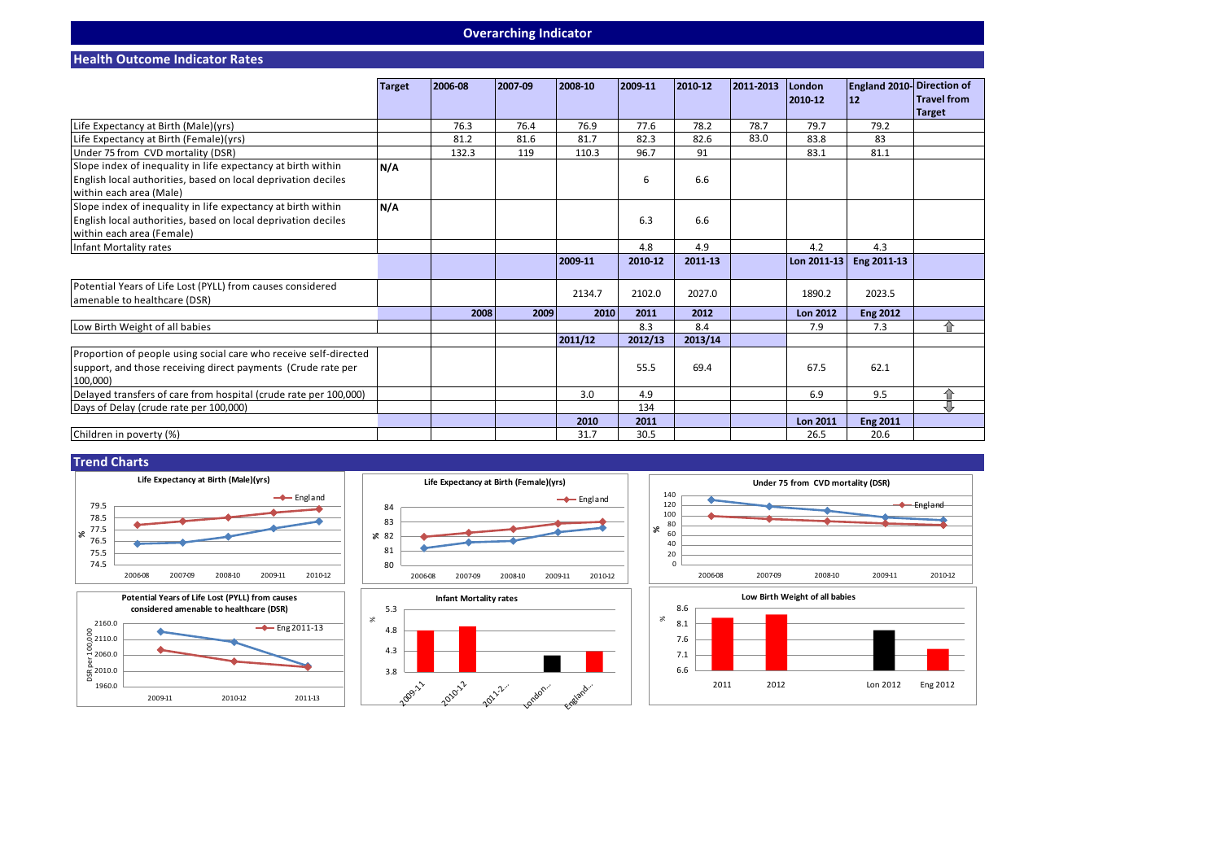#### **Overarching Indicator**

**Health Outcome Indicator Rates**

|                                                                  | <b>Target</b> | 2006-08 | 2007-09 | 2008-10 | 2009-11 | 2010-12 | 2011-2013 | London<br>2010-12 | <b>England 2010- Direction of</b><br>12 | <b>Travel from</b> |
|------------------------------------------------------------------|---------------|---------|---------|---------|---------|---------|-----------|-------------------|-----------------------------------------|--------------------|
|                                                                  |               |         |         |         |         |         |           |                   |                                         | <b>Target</b>      |
| Life Expectancy at Birth (Male)(yrs)                             |               | 76.3    | 76.4    | 76.9    | 77.6    | 78.2    | 78.7      | 79.7              | 79.2                                    |                    |
| Life Expectancy at Birth (Female)(yrs)                           |               | 81.2    | 81.6    | 81.7    | 82.3    | 82.6    | 83.0      | 83.8              | 83                                      |                    |
| Under 75 from CVD mortality (DSR)                                |               | 132.3   | 119     | 110.3   | 96.7    | 91      |           | 83.1              | 81.1                                    |                    |
| Slope index of inequality in life expectancy at birth within     | N/A           |         |         |         |         |         |           |                   |                                         |                    |
| English local authorities, based on local deprivation deciles    |               |         |         |         | 6       | 6.6     |           |                   |                                         |                    |
| within each area (Male)                                          |               |         |         |         |         |         |           |                   |                                         |                    |
| Slope index of inequality in life expectancy at birth within     | N/A           |         |         |         |         |         |           |                   |                                         |                    |
| English local authorities, based on local deprivation deciles    |               |         |         |         | 6.3     | 6.6     |           |                   |                                         |                    |
| within each area (Female)                                        |               |         |         |         |         |         |           |                   |                                         |                    |
| Infant Mortality rates                                           |               |         |         |         | 4.8     | 4.9     |           | 4.2               | 4.3                                     |                    |
|                                                                  |               |         |         | 2009-11 | 2010-12 | 2011-13 |           | Lon 2011-13       | Eng 2011-13                             |                    |
|                                                                  |               |         |         |         |         |         |           |                   |                                         |                    |
| Potential Years of Life Lost (PYLL) from causes considered       |               |         |         |         |         |         |           |                   |                                         |                    |
| amenable to healthcare (DSR)                                     |               |         |         | 2134.7  | 2102.0  | 2027.0  |           | 1890.2            | 2023.5                                  |                    |
|                                                                  |               | 2008    | 2009    | 2010    | 2011    | 2012    |           | <b>Lon 2012</b>   | <b>Eng 2012</b>                         |                    |
| Low Birth Weight of all babies                                   |               |         |         |         | 8.3     | 8.4     |           | 7.9               | 7.3                                     | ⇑                  |
|                                                                  |               |         |         | 2011/12 | 2012/13 | 2013/14 |           |                   |                                         |                    |
| Proportion of people using social care who receive self-directed |               |         |         |         |         |         |           |                   |                                         |                    |
| support, and those receiving direct payments (Crude rate per     |               |         |         |         | 55.5    | 69.4    |           | 67.5              | 62.1                                    |                    |
| 100.000)                                                         |               |         |         |         |         |         |           |                   |                                         |                    |
| Delayed transfers of care from hospital (crude rate per 100,000) |               |         |         | 3.0     | 4.9     |         |           | 6.9               | 9.5                                     | 仚                  |
| Days of Delay (crude rate per 100,000)                           |               |         |         |         | 134     |         |           |                   |                                         | ⇩                  |
|                                                                  |               |         |         | 2010    | 2011    |         |           | <b>Lon 2011</b>   | <b>Eng 2011</b>                         |                    |
| Children in poverty (%)                                          |               |         |         | 31.7    | 30.5    |         |           | 26.5              | 20.6                                    |                    |









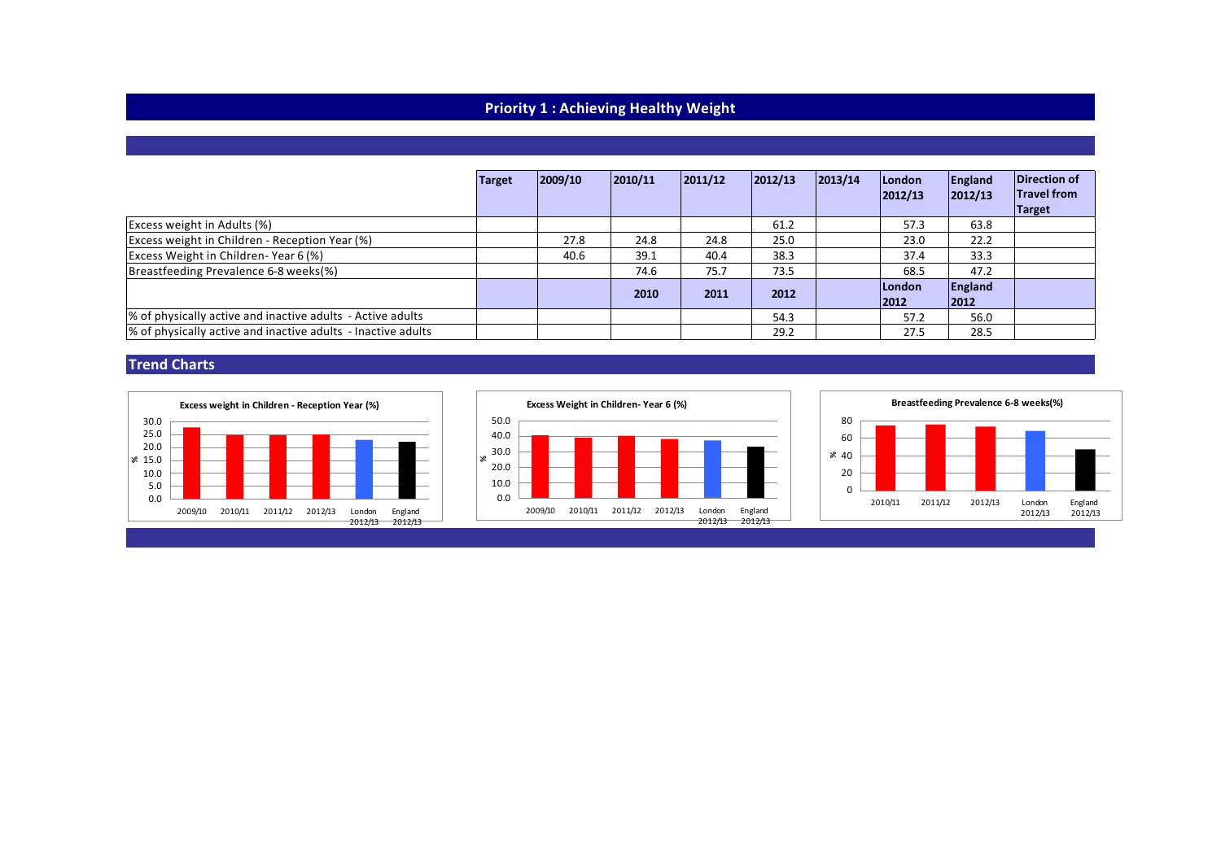# **Priority 1 : Achieving Healthy Weight**

|                                                              | <b>Target</b> | 2009/10 | 2010/11 | 2011/12 | 2012/13 | 2013/14 | London<br>2012/13 | England<br> 2012/13 | Direction of<br><b>Travel from</b><br>Target |
|--------------------------------------------------------------|---------------|---------|---------|---------|---------|---------|-------------------|---------------------|----------------------------------------------|
| Excess weight in Adults (%)                                  |               |         |         |         | 61.2    |         | 57.3              | 63.8                |                                              |
| Excess weight in Children - Reception Year (%)               |               | 27.8    | 24.8    | 24.8    | 25.0    |         | 23.0              | 22.2                |                                              |
| Excess Weight in Children-Year 6(%)                          |               | 40.6    | 39.1    | 40.4    | 38.3    |         | 37.4              | 33.3                |                                              |
| Breastfeeding Prevalence 6-8 weeks(%)                        |               |         | 74.6    | 75.7    | 73.5    |         | 68.5              | 47.2                |                                              |
|                                                              |               |         | 2010    | 2011    | 2012    |         | London<br>2012    | England<br>2012     |                                              |
| % of physically active and inactive adults - Active adults   |               |         |         |         | 54.3    |         | 57.2              | 56.0                |                                              |
| % of physically active and inactive adults - Inactive adults |               |         |         |         | 29.2    |         | 27.5              | 28.5                |                                              |

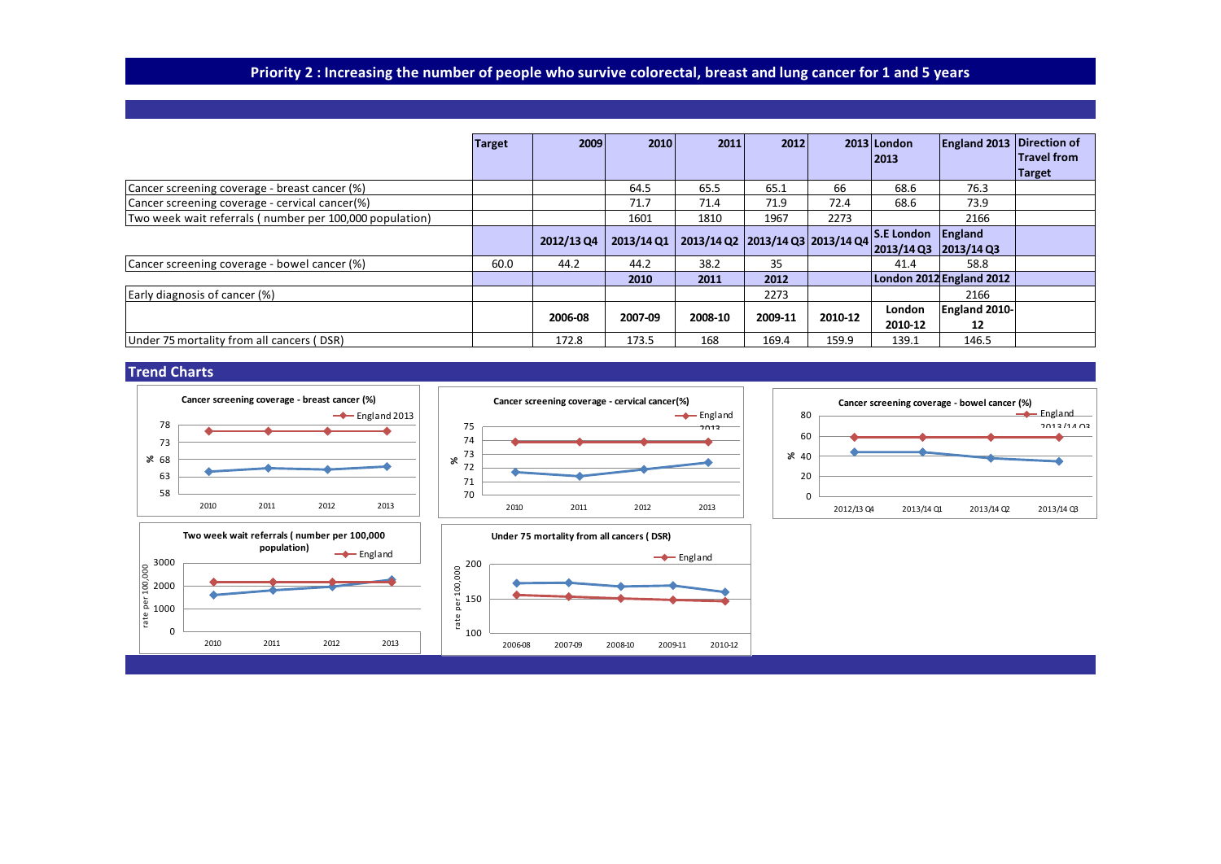# Priority 2 : Increasing the number of people who survive colorectal, breast and lung cancer for 1 and 5 years

|                                                         | <b>Target</b> | 2009       | 2010       | 2011                             | 2012    |         | $2013$ London                          | <b>England 2013 Direction of</b> | <b>Travel from</b> |
|---------------------------------------------------------|---------------|------------|------------|----------------------------------|---------|---------|----------------------------------------|----------------------------------|--------------------|
|                                                         |               |            |            |                                  |         |         | 2013                                   |                                  | <b>Target</b>      |
| Cancer screening coverage - breast cancer (%)           |               |            | 64.5       | 65.5                             | 65.1    | 66      | 68.6                                   | 76.3                             |                    |
| Cancer screening coverage - cervical cancer(%)          |               |            | 71.7       | 71.4                             | 71.9    | 72.4    | 68.6                                   | 73.9                             |                    |
| Two week wait referrals (number per 100,000 population) |               |            | 1601       | 1810                             | 1967    | 2273    |                                        | 2166                             |                    |
|                                                         |               | 2012/13 Q4 | 2013/14 Q1 | 2013/14 Q2 2013/14 Q3 2013/14 Q4 |         |         | $\overline{\text{S.E London}}$ England |                                  |                    |
|                                                         |               |            |            |                                  |         |         | 2013/14 Q3                             | $ 2013/14$ Q3                    |                    |
| Cancer screening coverage - bowel cancer (%)            | 60.0          | 44.2       | 44.2       | 38.2                             | 35      |         | 41.4                                   | 58.8                             |                    |
|                                                         |               |            | 2010       | 2011                             | 2012    |         |                                        | London 2012 England 2012         |                    |
| Early diagnosis of cancer (%)                           |               |            |            |                                  | 2273    |         |                                        | 2166                             |                    |
|                                                         |               | 2006-08    | 2007-09    | 2008-10                          | 2009-11 | 2010-12 | London                                 | England 2010-                    |                    |
|                                                         |               |            |            |                                  |         |         | 2010-12                                | 12                               |                    |
| Under 75 mortality from all cancers (DSR)               |               | 172.8      | 173.5      | 168                              | 169.4   | 159.9   | 139.1                                  | 146.5                            |                    |

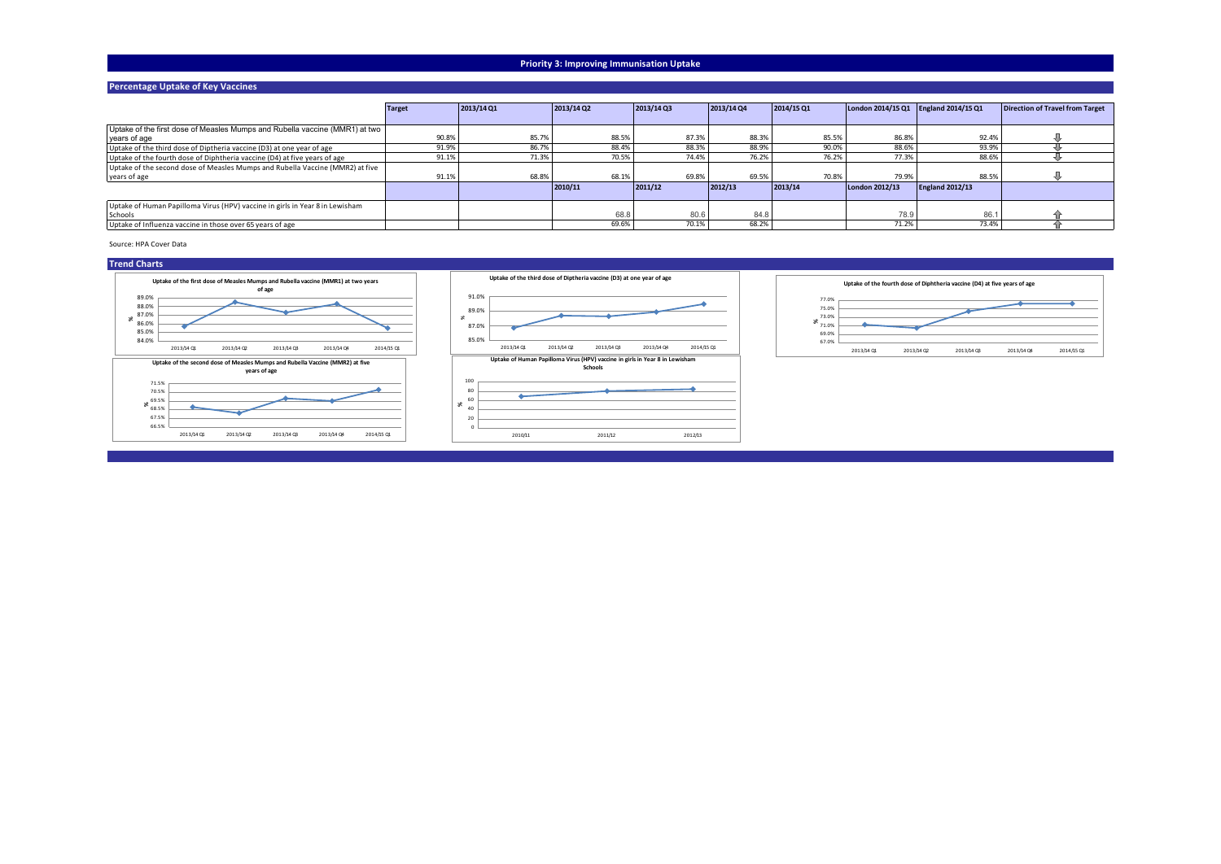#### **Priority 3: Improving Immunisation Uptake**

#### **Percentage Uptake of Key Vaccines**

|                                                                               | Target | 2013/14 Q1 | 2013/14 Q2 | 2013/14Q3 | 2013/14 Q4 | 2014/15Q1 | London 2014/15 Q1 England 2014/15 Q1 |                        | Direction of Travel from Target |
|-------------------------------------------------------------------------------|--------|------------|------------|-----------|------------|-----------|--------------------------------------|------------------------|---------------------------------|
|                                                                               |        |            |            |           |            |           |                                      |                        |                                 |
| Uptake of the first dose of Measles Mumps and Rubella vaccine (MMR1) at two   |        |            |            |           |            |           |                                      |                        |                                 |
| vears of age                                                                  | 90.8%  | 85.7%      | 88.5%      | 87.3%     | 88.3%      | 85.5%     | 86.8%                                | 92.4%                  |                                 |
| Uptake of the third dose of Diptheria vaccine (D3) at one year of age         | 91.9%  | 86.7%      | 88.4%      | 88.3%     | 88.9%      | 90.0%     | 88.6%                                | 93.9%                  |                                 |
| Uptake of the fourth dose of Diphtheria vaccine (D4) at five years of age     | 91.1%  | 71.3%      | 70.5%      | 74.4%     | 76.2%      | 76.2%     | 77.3%                                | 88.6%                  |                                 |
| Uptake of the second dose of Measles Mumps and Rubella Vaccine (MMR2) at five |        |            |            |           |            |           |                                      |                        |                                 |
| vears of age                                                                  | 91.1%  | 68.8%      | 68.1%      | 69.8%     | 69.5%      | 70.8%     | 79.9%                                | 88.5%                  |                                 |
|                                                                               |        |            | 2010/11    | 2011/12   | 2012/13    | 2013/14   | London 2012/13                       | <b>England 2012/13</b> |                                 |
|                                                                               |        |            |            |           |            |           |                                      |                        |                                 |
| Uptake of Human Papilloma Virus (HPV) vaccine in girls in Year 8 in Lewisham  |        |            |            |           |            |           |                                      |                        |                                 |
| Schools                                                                       |        |            | 68.8       | 80.6      | 84.8       |           | 78.9                                 | 86.1                   |                                 |
| Uptake of Influenza vaccine in those over 65 years of age                     |        |            | 69.6%      | 70.1%     | 68.2%      |           | 71.2%                                | 73.4%                  |                                 |

Source: HPA Cover Data



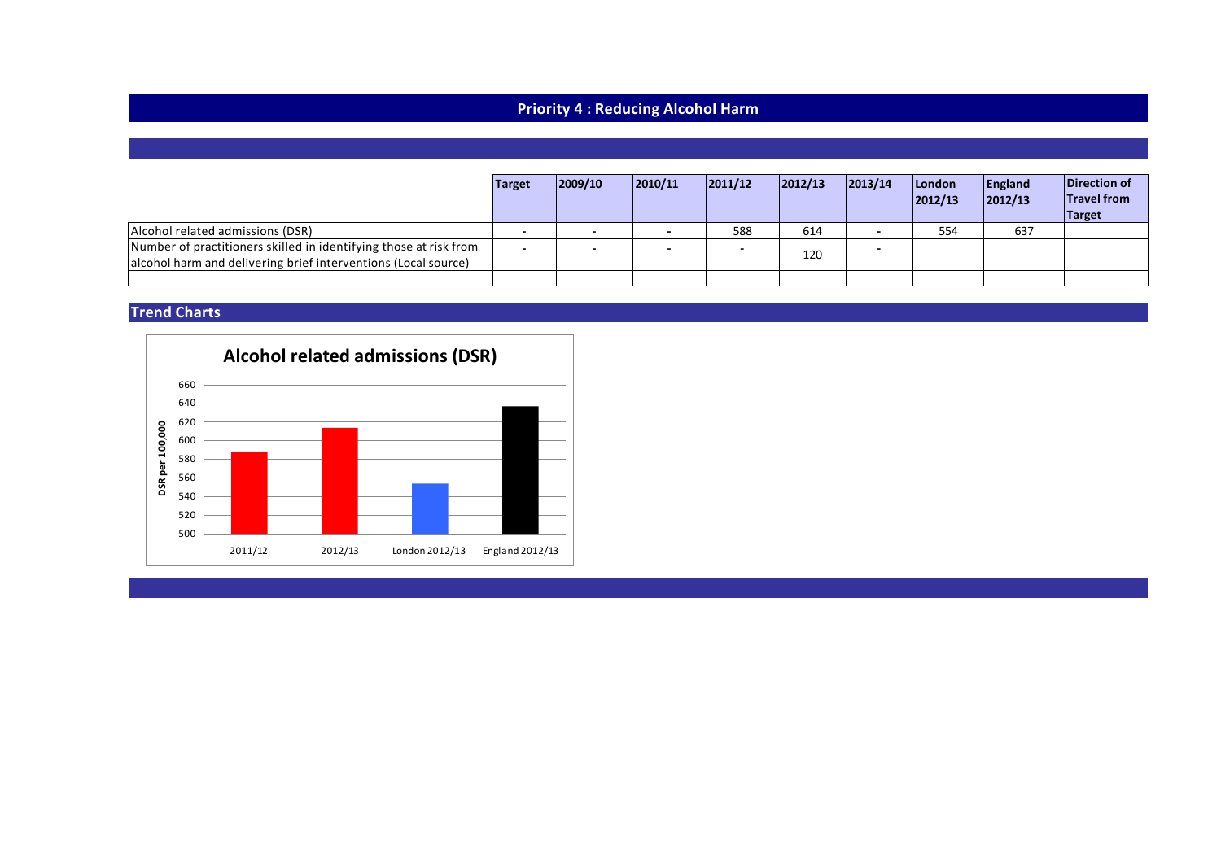# **Priority 4 : Reducing Alcohol Harm**

|                                                                                                                                     | Target | 2009/10                  | 2010/11 | 2011/12 | 2012/13 | 2013/14 | London<br> 2012/13 | England<br> 2012/13 | Direction of<br><b>Travel from</b><br><b>Target</b> |
|-------------------------------------------------------------------------------------------------------------------------------------|--------|--------------------------|---------|---------|---------|---------|--------------------|---------------------|-----------------------------------------------------|
| Alcohol related admissions (DSR)                                                                                                    |        |                          |         | 588     | 614     |         | 554                | 637                 |                                                     |
| Number of practitioners skilled in identifying those at risk from<br>alcohol harm and delivering brief interventions (Local source) | -      | $\overline{\phantom{0}}$ |         |         | 120     |         |                    |                     |                                                     |
|                                                                                                                                     |        |                          |         |         |         |         |                    |                     |                                                     |

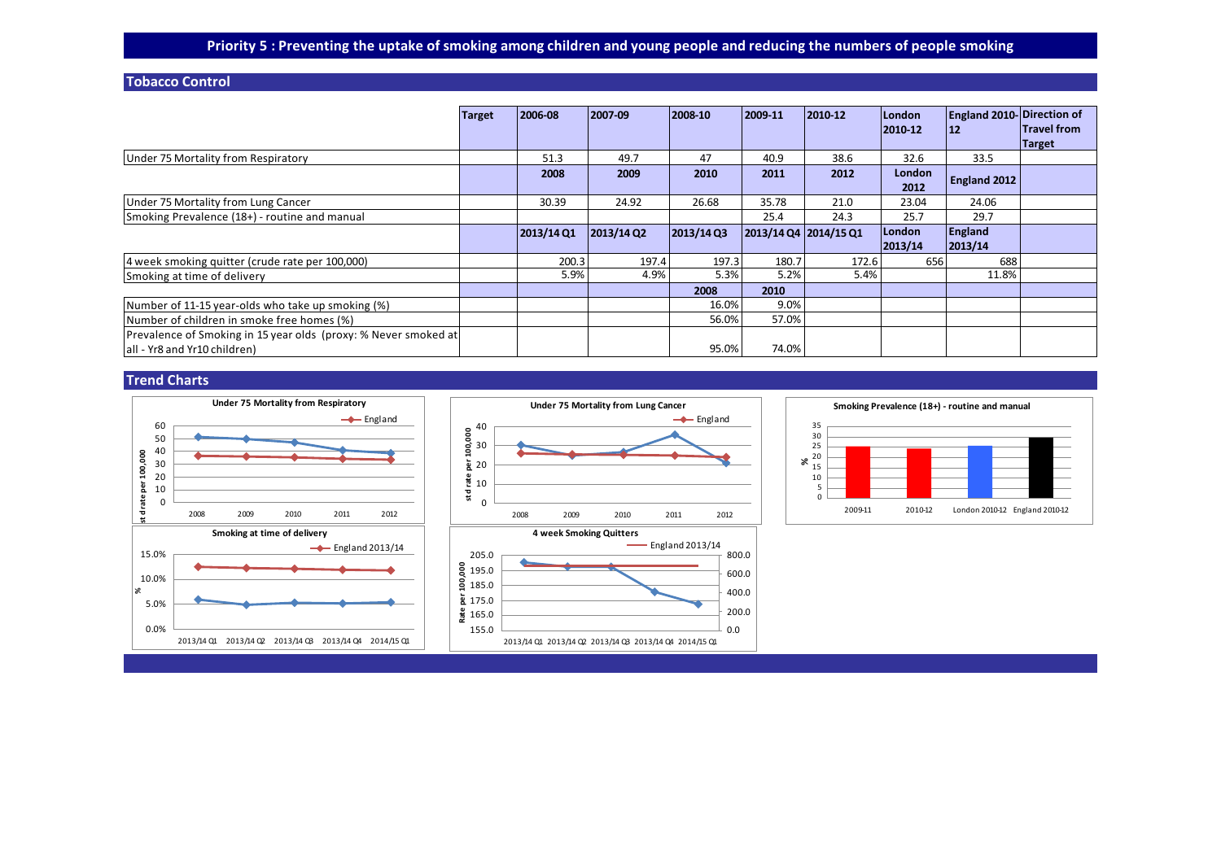### **Tobacco Control**

|                                                                                                 | <b>Target</b> | 2006-08   | 2007-09                  | 2008-10   | 2009-11               | 2010-12 | <b>London</b><br>2010-12 | <b>England 2010- Direction of</b><br>$12$ | <b>Travel from</b><br>Target |
|-------------------------------------------------------------------------------------------------|---------------|-----------|--------------------------|-----------|-----------------------|---------|--------------------------|-------------------------------------------|------------------------------|
| Under 75 Mortality from Respiratory                                                             |               | 51.3      | 49.7                     | 47        | 40.9                  | 38.6    | 32.6                     | 33.5                                      |                              |
|                                                                                                 |               | 2008      | 2009                     | 2010      | 2011                  | 2012    | <b>London</b><br>2012    | England 2012                              |                              |
| Under 75 Mortality from Lung Cancer                                                             |               | 30.39     | 24.92                    | 26.68     | 35.78                 | 21.0    | 23.04                    | 24.06                                     |                              |
| Smoking Prevalence (18+) - routine and manual                                                   |               |           |                          |           | 25.4                  | 24.3    | 25.7                     | 29.7                                      |                              |
|                                                                                                 |               | 2013/14Q1 | $2013/14$ Q <sub>2</sub> | 2013/14Q3 | 2013/14 Q4 2014/15 Q1 |         | London<br>2013/14        | England<br>2013/14                        |                              |
| 4 week smoking quitter (crude rate per 100,000)                                                 |               | 200.3     | 197.4                    | 197.3     | 180.7                 | 172.6   | 656                      | 688                                       |                              |
| Smoking at time of delivery                                                                     |               | 5.9%      | 4.9%                     | 5.3%      | 5.2%                  | 5.4%    |                          | 11.8%                                     |                              |
|                                                                                                 |               |           |                          | 2008      | 2010                  |         |                          |                                           |                              |
| Number of 11-15 year-olds who take up smoking (%)                                               |               |           |                          | 16.0%     | 9.0%                  |         |                          |                                           |                              |
| Number of children in smoke free homes (%)                                                      |               |           |                          | 56.0%     | 57.0%                 |         |                          |                                           |                              |
| Prevalence of Smoking in 15 year olds (proxy: % Never smoked at<br>all - Yr8 and Yr10 children) |               |           |                          | 95.0%     | 74.0%                 |         |                          |                                           |                              |

← England

 $-$  England 2013/14

0.0 200.0 400.0 600.0 800.0



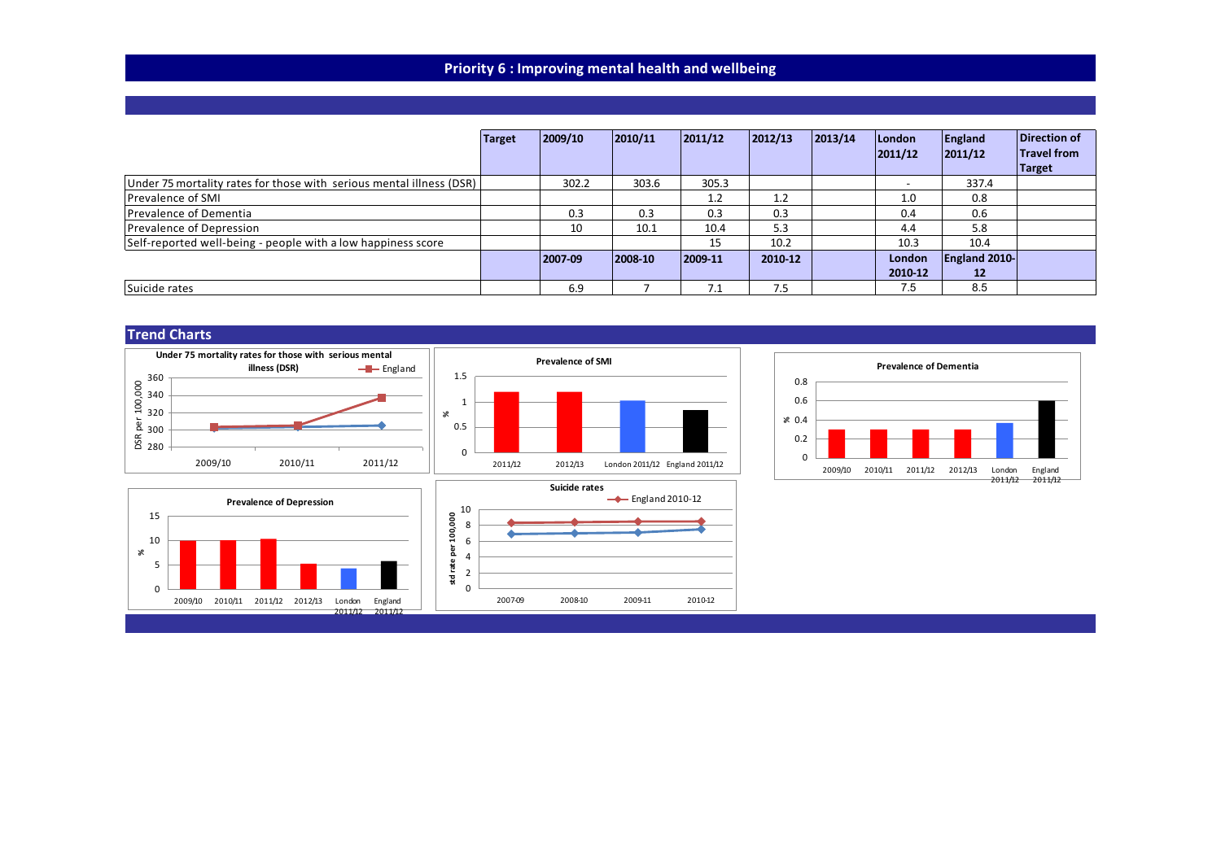## **Priority 6 : Improving mental health and wellbeing**

|                                                                      | Target | 2009/10 | 2010/11 | 2011/12     | 2012/13 | 2013/14 | London<br>2011/12        | England<br> 2011/12  | <b>Direction of</b><br><b>Travel from</b><br><b>Target</b> |
|----------------------------------------------------------------------|--------|---------|---------|-------------|---------|---------|--------------------------|----------------------|------------------------------------------------------------|
| Under 75 mortality rates for those with serious mental illness (DSR) |        | 302.2   | 303.6   | 305.3       |         |         | $\overline{\phantom{0}}$ | 337.4                |                                                            |
| Prevalence of SMI                                                    |        |         |         | 1.2         | 1.2     |         | 1.0                      | 0.8                  |                                                            |
| Prevalence of Dementia                                               |        | 0.3     | 0.3     | 0.3         | 0.3     |         | 0.4                      | 0.6                  |                                                            |
| Prevalence of Depression                                             |        | 10      | 10.1    | 10.4        | 5.3     |         | 4.4                      | 5.8                  |                                                            |
| Self-reported well-being - people with a low happiness score         |        |         |         | 15          | 10.2    |         | 10.3                     | 10.4                 |                                                            |
|                                                                      |        | 2007-09 | 2008-10 | $ 2009-11 $ | 2010-12 |         | London                   | <b>England 2010-</b> |                                                            |
|                                                                      |        |         |         |             |         |         | 2010-12                  | <b>12</b>            |                                                            |
| Suicide rates                                                        |        | 6.9     |         | 7.1         | 7.5     |         | 7.5                      | 8.5                  |                                                            |



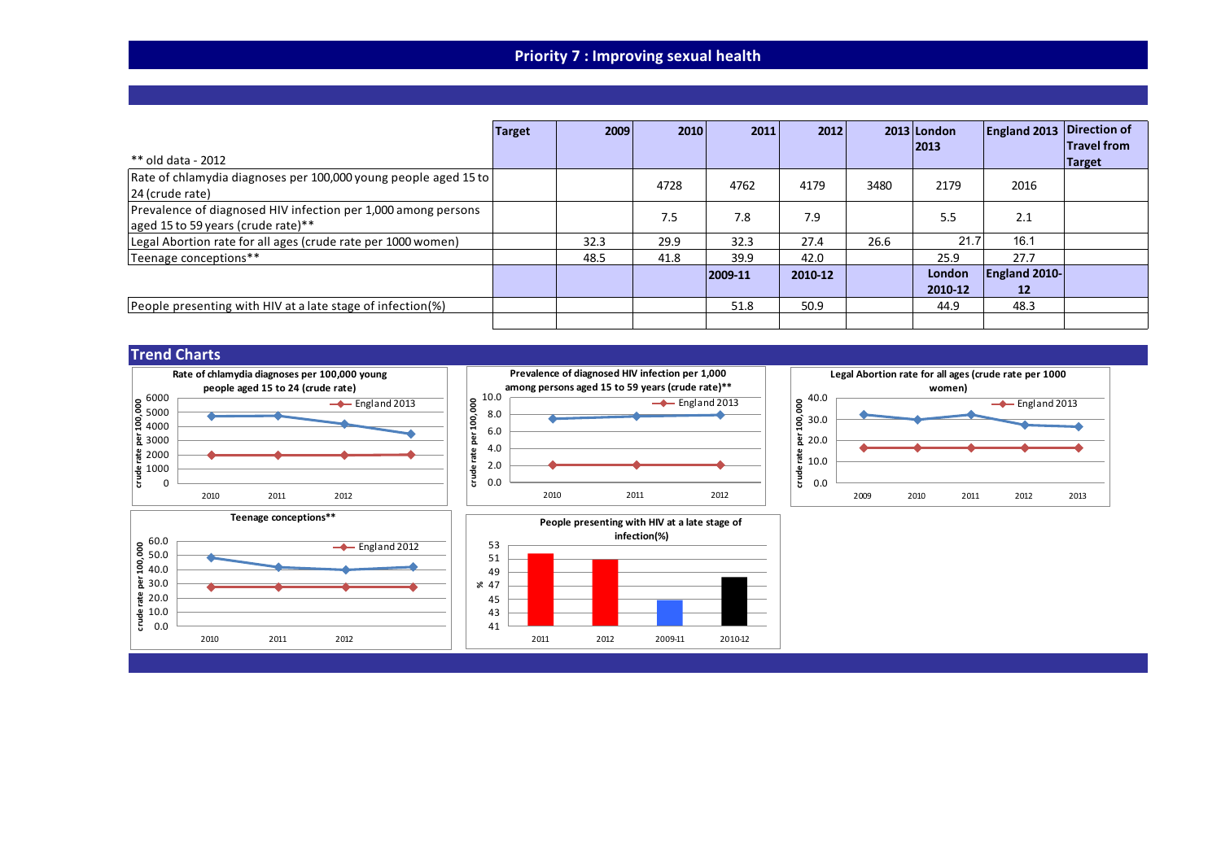# **Priority 7 : Improving sexual health**

|                                                                                                     | Target | 2009 | 2010 | 2011    | 2012    |      | $2013$ London<br> 2013 | <b>England 2013</b> | Direction of<br><b>Travel from</b> |
|-----------------------------------------------------------------------------------------------------|--------|------|------|---------|---------|------|------------------------|---------------------|------------------------------------|
| ** old data - 2012                                                                                  |        |      |      |         |         |      |                        |                     | <b>Target</b>                      |
| Rate of chlamydia diagnoses per 100,000 young people aged 15 to<br>24 (crude rate)                  |        |      | 4728 | 4762    | 4179    | 3480 | 2179                   | 2016                |                                    |
| Prevalence of diagnosed HIV infection per 1,000 among persons<br>aged 15 to 59 years (crude rate)** |        |      | 7.5  | 7.8     | 7.9     |      | 5.5                    | 2.1                 |                                    |
| Legal Abortion rate for all ages (crude rate per 1000 women)                                        |        | 32.3 | 29.9 | 32.3    | 27.4    | 26.6 | 21.7                   | 16.1                |                                    |
| Teenage conceptions**                                                                               |        | 48.5 | 41.8 | 39.9    | 42.0    |      | 25.9                   | 27.7                |                                    |
|                                                                                                     |        |      |      | 2009-11 | 2010-12 |      | London                 | England 2010-       |                                    |
|                                                                                                     |        |      |      |         |         |      | 2010-12                | $12 \overline{ }$   |                                    |
| People presenting with HIV at a late stage of infection(%)                                          |        |      |      | 51.8    | 50.9    |      | 44.9                   | 48.3                |                                    |
|                                                                                                     |        |      |      |         |         |      |                        |                     |                                    |









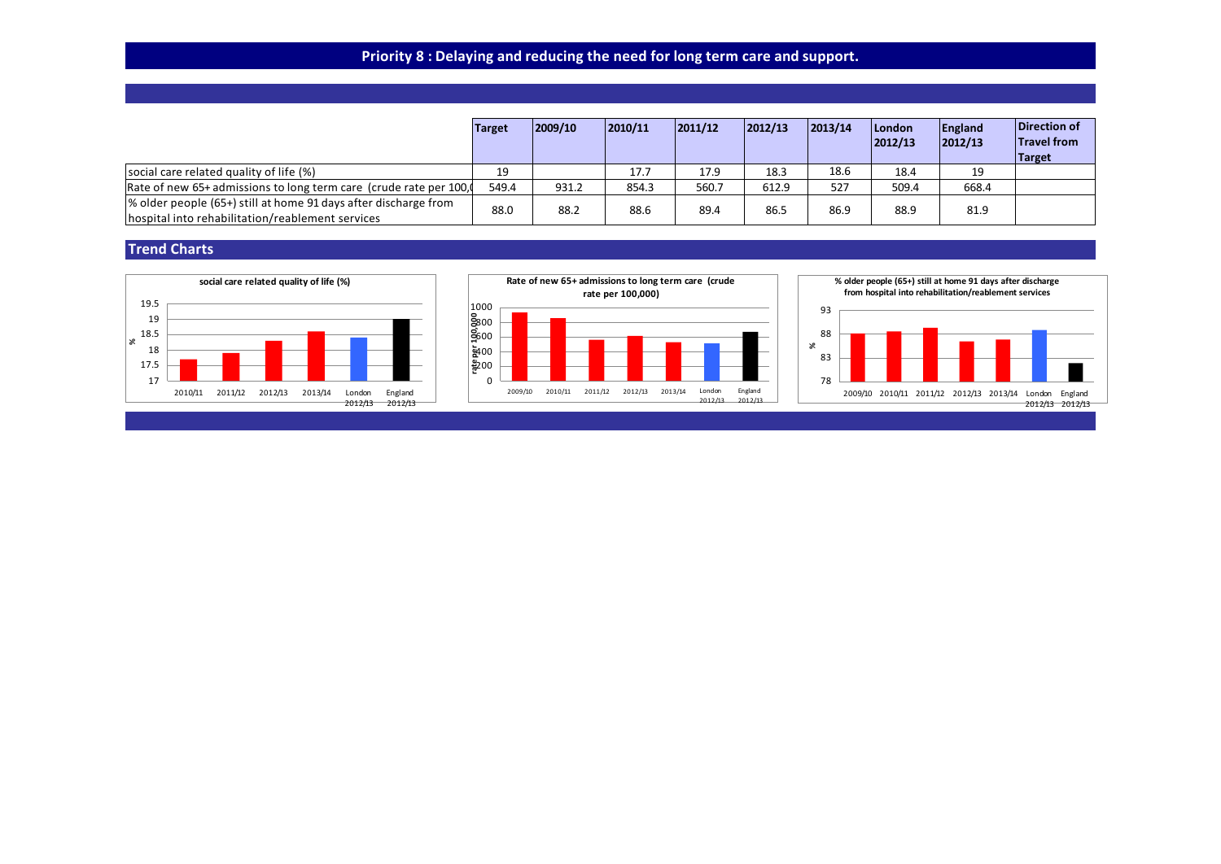# **Priority 8 : Delaying and reducing the need for long term care and support.**

|                                                                                                                     | <b>Target</b> | 2009/10 | 2010/11 | 2011/12 | 2012/13 | 2013/14 | London<br> 2012/13 | England<br> 2012/13 | Direction of<br><b>Travel from</b><br>Target |
|---------------------------------------------------------------------------------------------------------------------|---------------|---------|---------|---------|---------|---------|--------------------|---------------------|----------------------------------------------|
| social care related quality of life (%)                                                                             | 19            |         | 17.7    | 17.9    | 18.3    | 18.6    | 18.4               | 19                  |                                              |
| Rate of new 65+ admissions to long term care (crude rate per 100,                                                   | 549.4         | 931.2   | 854.3   | 560.7   | 612.9   | 527     | 509.4              | 668.4               |                                              |
| % older people (65+) still at home 91 days after discharge from<br>hospital into rehabilitation/reablement services | 88.0          | 88.2    | 88.6    | 89.4    | 86.5    | 86.9    | 88.9               | 81.9                |                                              |





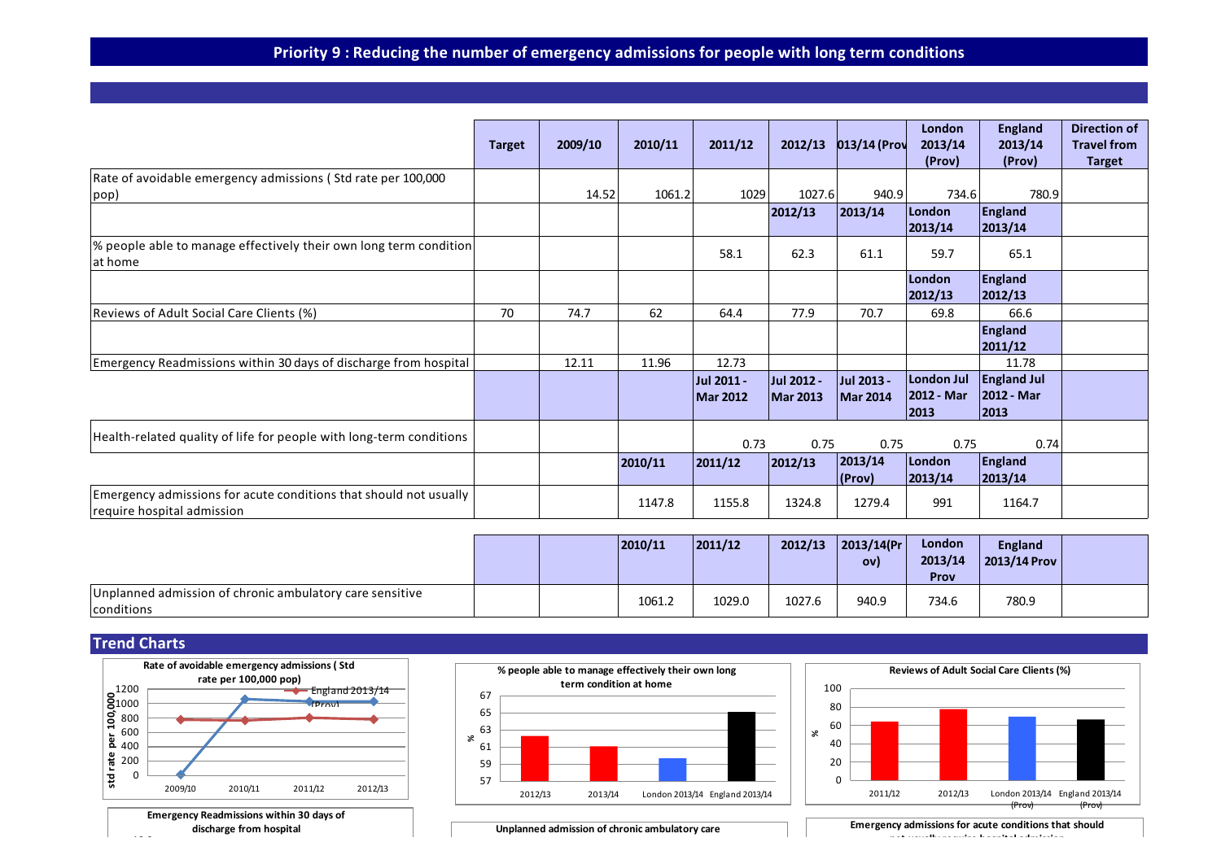# **Priority 9 : Reducing the number of emergency admissions for people with long term conditions**

|                                                                                                 | <b>Target</b> | 2009/10 | 2010/11 | 2011/12                       | 2012/13                       | 013/14 (Prov                  | London<br>2013/14<br>(Prov)      | <b>England</b><br>2013/14<br>(Prov)      | Direction of<br><b>Travel from</b><br><b>Target</b> |
|-------------------------------------------------------------------------------------------------|---------------|---------|---------|-------------------------------|-------------------------------|-------------------------------|----------------------------------|------------------------------------------|-----------------------------------------------------|
| Rate of avoidable emergency admissions (Std rate per 100,000<br> pop)                           |               | 14.52   | 1061.2  | 1029                          | 1027.6                        | 940.9                         | 734.6                            | 780.9                                    |                                                     |
|                                                                                                 |               |         |         |                               | 2012/13                       | 2013/14                       | London<br>2013/14                | <b>England</b><br>2013/14                |                                                     |
| % people able to manage effectively their own long term condition <br>at home                   |               |         |         | 58.1                          | 62.3                          | 61.1                          | 59.7                             | 65.1                                     |                                                     |
|                                                                                                 |               |         |         |                               |                               |                               | London<br>2012/13                | <b>England</b><br>2012/13                |                                                     |
| Reviews of Adult Social Care Clients (%)                                                        | 70            | 74.7    | 62      | 64.4                          | 77.9                          | 70.7                          | 69.8                             | 66.6                                     |                                                     |
|                                                                                                 |               |         |         |                               |                               |                               |                                  | <b>England</b><br>2011/12                |                                                     |
| Emergency Readmissions within 30 days of discharge from hospital                                |               | 12.11   | 11.96   | 12.73                         |                               |                               |                                  | 11.78                                    |                                                     |
|                                                                                                 |               |         |         | Jul 2011 -<br><b>Mar 2012</b> | Jul 2012 -<br><b>Mar 2013</b> | Jul 2013 -<br><b>Mar 2014</b> | London Jul<br>2012 - Mar<br>2013 | <b>England Jul</b><br>2012 - Mar<br>2013 |                                                     |
| Health-related quality of life for people with long-term conditions                             |               |         |         | 0.73                          | 0.75                          | 0.75                          | 0.75                             | 0.74                                     |                                                     |
|                                                                                                 |               |         | 2010/11 | 2011/12                       | 2012/13                       | 2013/14 <br>(Prov)            | London<br>2013/14                | <b>England</b><br>2013/14                |                                                     |
| Emergency admissions for acute conditions that should not usually<br>require hospital admission |               |         | 1147.8  | 1155.8                        | 1324.8                        | 1279.4                        | 991                              | 1164.7                                   |                                                     |

|                                                                        |  | 2010/11 | 2011/12 | 2012/13 | 2013/14(Pr) <br>OV) | London<br>2013/14<br>Prov | <b>England</b><br>2013/14 Prov |  |
|------------------------------------------------------------------------|--|---------|---------|---------|---------------------|---------------------------|--------------------------------|--|
| Unplanned admission of chronic ambulatory care sensitive<br>conditions |  | 1061.2  | 1029.0  | 1027.6  | 940.9               | 734.6                     | 780.9                          |  |

## **Trend Charts**



**discharge from hospital** 13.2





**Unplanned admission of chronic ambulatory care**

**Emergency admissions for acute conditions that should not usually require hospital admission**